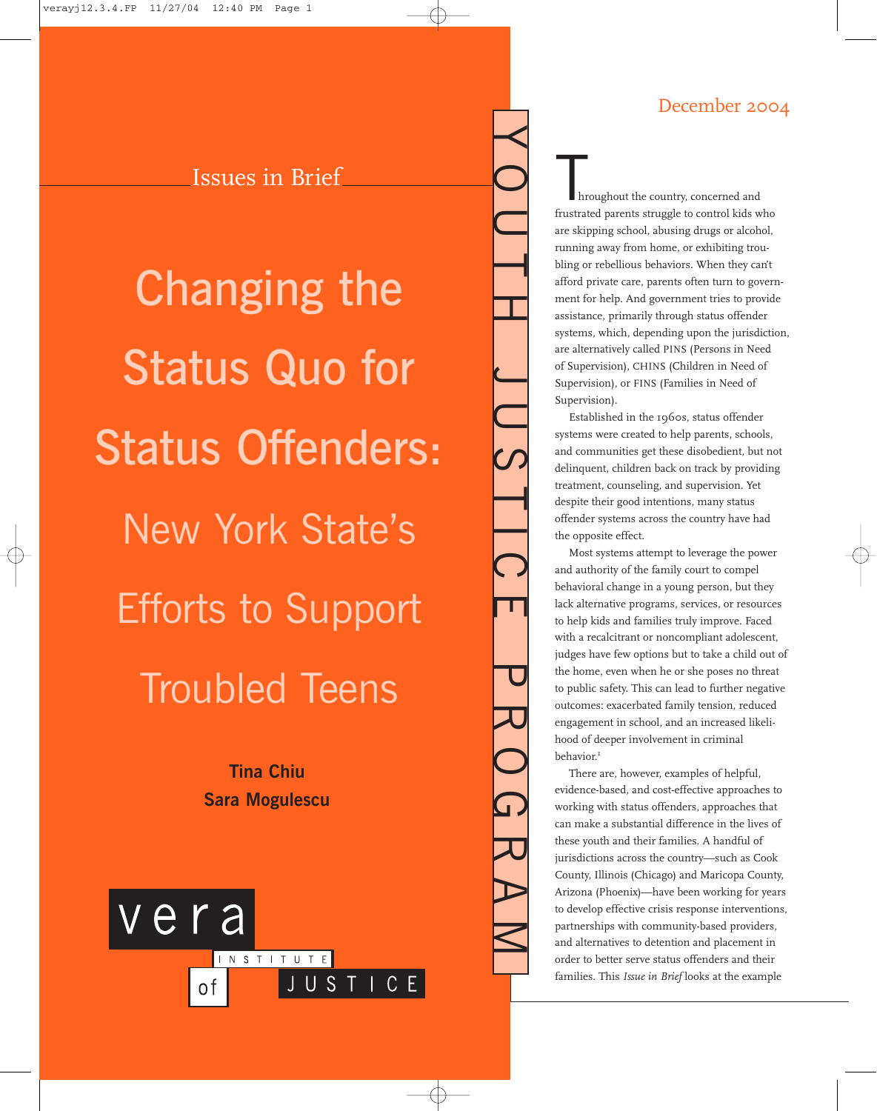# December 2004

Issues in Brief

Changing the Status Quo for Status Offenders: New York State's Efforts to Support Troubled Teens

> **Tina Chiu Sara Mogulescu**



hroughout the country, concerned and frustrated parents struggle to control kids who are skipping school, abusing drugs or alcohol, running away from home, or exhibiting troubling or rebellious behaviors. When they can't afford private care, parents often turn to government for help. And government tries to provide assistance, primarily through status offender systems, which, depending upon the jurisdiction, are alternatively called PINS (Persons in Need of Supervision), CHINS (Children in Need of Supervision), or FINS (Families in Need of Supervision).

 $\prec$ 

OUTH JUSTICE PROGRAM

Established in the 1960s, status offender systems were created to help parents, schools, and communities get these disobedient, but not delinquent, children back on track by providing treatment, counseling, and supervision. Yet despite their good intentions, many status offender systems across the country have had the opposite effect.

Most systems attempt to leverage the power and authority of the family court to compel behavioral change in a young person, but they lack alternative programs, services, or resources to help kids and families truly improve. Faced with a recalcitrant or noncompliant adolescent, judges have few options but to take a child out of the home, even when he or she poses no threat to public safety. This can lead to further negative outcomes: exacerbated family tension, reduced engagement in school, and an increased likelihood of deeper involvement in criminal behavior.<sup>1</sup>

There are, however, examples of helpful, evidence-based, and cost-effective approaches to working with status offenders, approaches that can make a substantial difference in the lives of these youth and their families. A handful of jurisdictions across the country—such as Cook County, Illinois (Chicago) and Maricopa County, Arizona (Phoenix)—have been working for years to develop effective crisis response interventions, partnerships with community-based providers, and alternatives to detention and placement in order to better serve status offenders and their families. This *Issue in Brief* looks at the example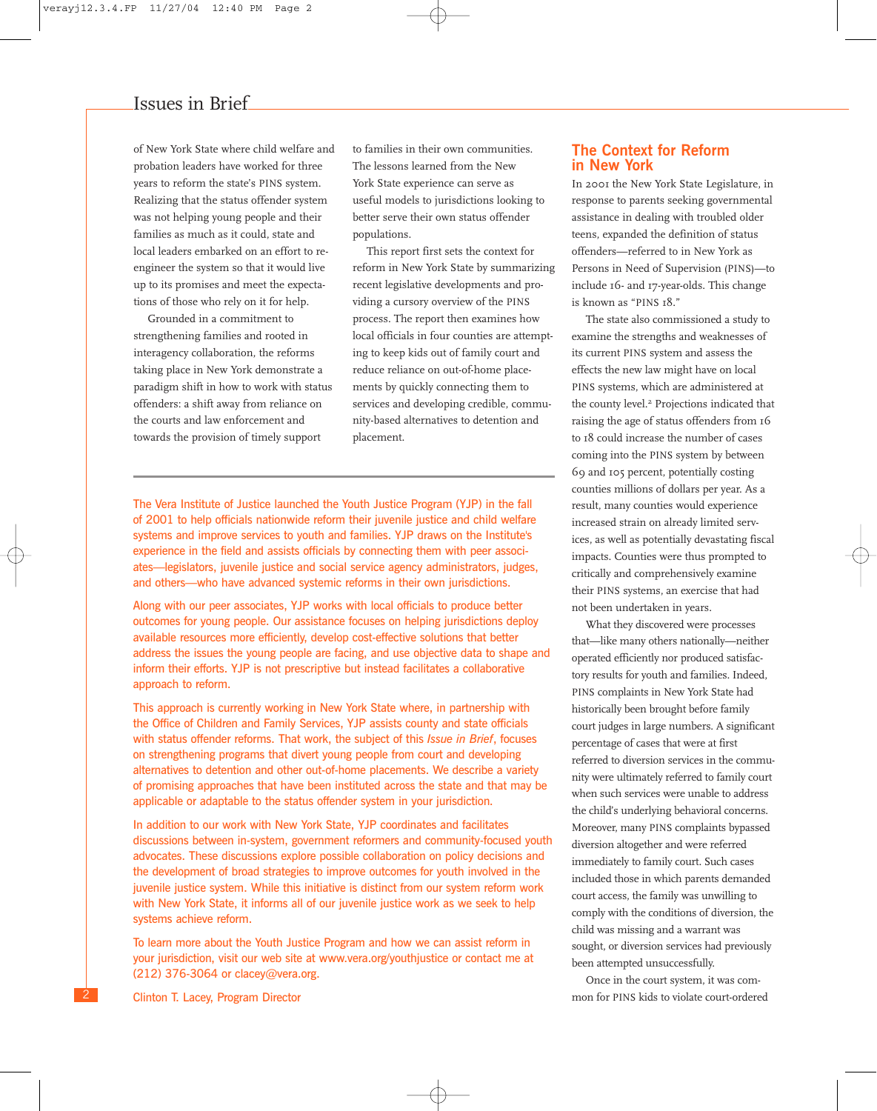of New York State where child welfare and probation leaders have worked for three years to reform the state's PINS system. Realizing that the status offender system was not helping young people and their families as much as it could, state and local leaders embarked on an effort to reengineer the system so that it would live up to its promises and meet the expectations of those who rely on it for help.

Grounded in a commitment to strengthening families and rooted in interagency collaboration, the reforms taking place in New York demonstrate a paradigm shift in how to work with status offenders: a shift away from reliance on the courts and law enforcement and towards the provision of timely support

to families in their own communities. The lessons learned from the New York State experience can serve as useful models to jurisdictions looking to better serve their own status offender populations.

This report first sets the context for reform in New York State by summarizing recent legislative developments and providing a cursory overview of the PINS process. The report then examines how local officials in four counties are attempting to keep kids out of family court and reduce reliance on out-of-home placements by quickly connecting them to services and developing credible, community-based alternatives to detention and placement.

The Vera Institute of Justice launched the Youth Justice Program (YJP) in the fall of 2001 to help officials nationwide reform their juvenile justice and child welfare systems and improve services to youth and families. YJP draws on the Institute's experience in the field and assists officials by connecting them with peer associates—legislators, juvenile justice and social service agency administrators, judges, and others—who have advanced systemic reforms in their own jurisdictions.

Along with our peer associates, YJP works with local officials to produce better outcomes for young people. Our assistance focuses on helping jurisdictions deploy available resources more efficiently, develop cost-effective solutions that better address the issues the young people are facing, and use objective data to shape and inform their efforts. YJP is not prescriptive but instead facilitates a collaborative approach to reform.

This approach is currently working in New York State where, in partnership with the Office of Children and Family Services, YJP assists county and state officials with status offender reforms. That work, the subject of this *Issue in Brief*, focuses on strengthening programs that divert young people from court and developing alternatives to detention and other out-of-home placements. We describe a variety of promising approaches that have been instituted across the state and that may be applicable or adaptable to the status offender system in your jurisdiction.

In addition to our work with New York State, YJP coordinates and facilitates discussions between in-system, government reformers and community-focused youth advocates. These discussions explore possible collaboration on policy decisions and the development of broad strategies to improve outcomes for youth involved in the juvenile justice system. While this initiative is distinct from our system reform work with New York State, it informs all of our juvenile justice work as we seek to help systems achieve reform.

To learn more about the Youth Justice Program and how we can assist reform in your jurisdiction, visit our web site at www.vera.org/youthjustice or contact me at (212) 376-3064 or clacey@vera.org.

Clinton T. Lacey, Program Director

2

### **The Context for Reform in New York**

In 2001 the New York State Legislature, in response to parents seeking governmental assistance in dealing with troubled older teens, expanded the definition of status offenders—referred to in New York as Persons in Need of Supervision (PINS)—to include 16- and 17-year-olds. This change is known as "PINS 18."

The state also commissioned a study to examine the strengths and weaknesses of its current PINS system and assess the effects the new law might have on local PINS systems, which are administered at the county level.<sup>2</sup> Projections indicated that raising the age of status offenders from 16 to 18 could increase the number of cases coming into the PINS system by between 69 and 105 percent, potentially costing counties millions of dollars per year. As a result, many counties would experience increased strain on already limited services, as well as potentially devastating fiscal impacts. Counties were thus prompted to critically and comprehensively examine their PINS systems, an exercise that had not been undertaken in years.

What they discovered were processes that—like many others nationally—neither operated efficiently nor produced satisfactory results for youth and families. Indeed, PINS complaints in New York State had historically been brought before family court judges in large numbers. A significant percentage of cases that were at first referred to diversion services in the community were ultimately referred to family court when such services were unable to address the child's underlying behavioral concerns. Moreover, many PINS complaints bypassed diversion altogether and were referred immediately to family court. Such cases included those in which parents demanded court access, the family was unwilling to comply with the conditions of diversion, the child was missing and a warrant was sought, or diversion services had previously been attempted unsuccessfully.

Once in the court system, it was common for PINS kids to violate court-ordered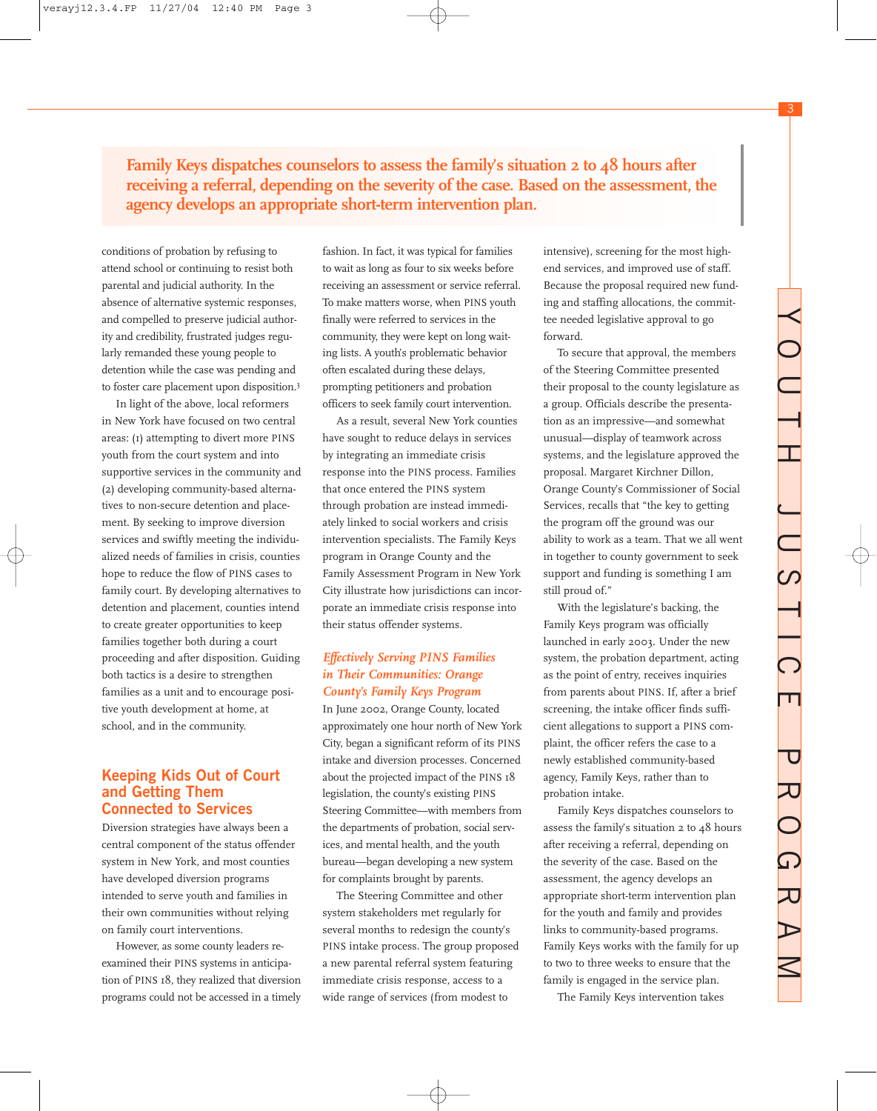3

**Family Keys dispatches counselors to assess the family's situation 2 to 48 hours after receiving a referral, depending on the severity of the case. Based on the assessment, the agency develops an appropriate short-term intervention plan.**

conditions of probation by refusing to attend school or continuing to resist both parental and judicial authority. In the absence of alternative systemic responses, and compelled to preserve judicial authority and credibility, frustrated judges regularly remanded these young people to detention while the case was pending and to foster care placement upon disposition.3

In light of the above, local reformers in New York have focused on two central areas: (1) attempting to divert more PINS youth from the court system and into supportive services in the community and (2) developing community-based alternatives to non-secure detention and placement. By seeking to improve diversion services and swiftly meeting the individualized needs of families in crisis, counties hope to reduce the flow of PINS cases to family court. By developing alternatives to detention and placement, counties intend to create greater opportunities to keep families together both during a court proceeding and after disposition. Guiding both tactics is a desire to strengthen families as a unit and to encourage positive youth development at home, at school, and in the community.

### **Keeping Kids Out of Court and Getting Them Connected to Services**

Diversion strategies have always been a central component of the status offender system in New York, and most counties have developed diversion programs intended to serve youth and families in their own communities without relying on family court interventions.

However, as some county leaders reexamined their PINS systems in anticipation of PINS 18, they realized that diversion programs could not be accessed in a timely

fashion. In fact, it was typical for families to wait as long as four to six weeks before receiving an assessment or service referral. To make matters worse, when PINS youth finally were referred to services in the community, they were kept on long waiting lists. A youth's problematic behavior often escalated during these delays, prompting petitioners and probation officers to seek family court intervention.

As a result, several New York counties have sought to reduce delays in services by integrating an immediate crisis response into the PINS process. Families that once entered the PINS system through probation are instead immediately linked to social workers and crisis intervention specialists. The Family Keys program in Orange County and the Family Assessment Program in New York City illustrate how jurisdictions can incorporate an immediate crisis response into their status offender systems.

### *Effectively Serving PINS Families in Their Communities: Orange County's Family Keys Program*

In June 2002, Orange County, located approximately one hour north of New York City, began a significant reform of its PINS intake and diversion processes. Concerned about the projected impact of the PINS 18 legislation, the county's existing PINS Steering Committee—with members from the departments of probation, social services, and mental health, and the youth bureau—began developing a new system for complaints brought by parents.

The Steering Committee and other system stakeholders met regularly for several months to redesign the county's PINS intake process. The group proposed a new parental referral system featuring immediate crisis response, access to a wide range of services (from modest to

intensive), screening for the most highend services, and improved use of staff. Because the proposal required new funding and staffing allocations, the committee needed legislative approval to go forward.

To secure that approval, the members of the Steering Committee presented their proposal to the county legislature as a group. Officials describe the presentation as an impressive—and somewhat unusual—display of teamwork across systems, and the legislature approved the proposal. Margaret Kirchner Dillon, Orange County's Commissioner of Social Services, recalls that "the key to getting the program off the ground was our ability to work as a team. That we all went in together to county government to seek support and funding is something I am still proud of."

With the legislature's backing, the Family Keys program was officially launched in early 2003. Under the new system, the probation department, acting as the point of entry, receives inquiries from parents about PINS. If, after a brief screening, the intake officer finds sufficient allegations to support a PINS complaint, the officer refers the case to a newly established community-based agency, Family Keys, rather than to probation intake.

Family Keys dispatches counselors to assess the family's situation 2 to 48 hours after receiving a referral, depending on the severity of the case. Based on the assessment, the agency develops an appropriate short-term intervention plan for the youth and family and provides links to community-based programs. Family Keys works with the family for up to two to three weeks to ensure that the family is engaged in the service plan.

The Family Keys intervention takes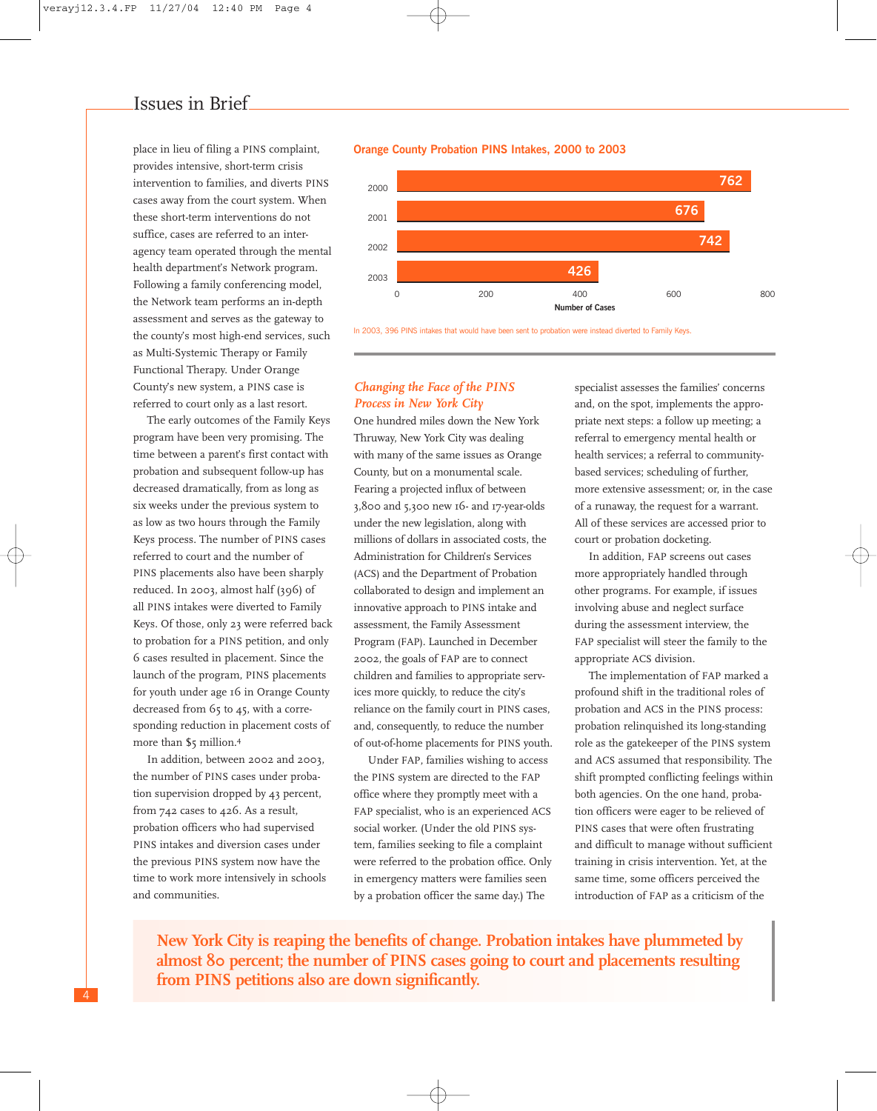place in lieu of filing a PINS complaint, provides intensive, short-term crisis intervention to families, and diverts PINS cases away from the court system. When these short-term interventions do not suffice, cases are referred to an interagency team operated through the mental health department's Network program. Following a family conferencing model, the Network team performs an in-depth assessment and serves as the gateway to the county's most high-end services, such as Multi-Systemic Therapy or Family Functional Therapy. Under Orange County's new system, a PINS case is referred to court only as a last resort.

The early outcomes of the Family Keys program have been very promising. The time between a parent's first contact with probation and subsequent follow-up has decreased dramatically, from as long as six weeks under the previous system to as low as two hours through the Family Keys process. The number of PINS cases referred to court and the number of PINS placements also have been sharply reduced. In 2003, almost half (396) of all PINS intakes were diverted to Family Keys. Of those, only 23 were referred back to probation for a PINS petition, and only 6 cases resulted in placement. Since the launch of the program, PINS placements for youth under age 16 in Orange County decreased from 65 to 45, with a corresponding reduction in placement costs of more than \$5 million.<sup>4</sup>

In addition, between 2002 and 2003, the number of PINS cases under probation supervision dropped by 43 percent, from 742 cases to 426. As a result, probation officers who had supervised PINS intakes and diversion cases under the previous PINS system now have the time to work more intensively in schools and communities.





In 2003, 396 PINS intakes that would have been sent to probation were instead diverted to Family Keys.

### *Changing the Face of the PINS Process in New York City*

One hundred miles down the New York Thruway, New York City was dealing with many of the same issues as Orange County, but on a monumental scale. Fearing a projected influx of between 3,800 and 5,300 new 16- and 17-year-olds under the new legislation, along with millions of dollars in associated costs, the Administration for Children's Services (ACS) and the Department of Probation collaborated to design and implement an innovative approach to PINS intake and assessment, the Family Assessment Program (FAP). Launched in December 2002, the goals of FAP are to connect children and families to appropriate services more quickly, to reduce the city's reliance on the family court in PINS cases, and, consequently, to reduce the number of out-of-home placements for PINS youth.

Under FAP, families wishing to access the PINS system are directed to the FAP office where they promptly meet with a FAP specialist, who is an experienced ACS social worker. (Under the old PINS system, families seeking to file a complaint were referred to the probation office. Only in emergency matters were families seen by a probation officer the same day.) The

specialist assesses the families' concerns and, on the spot, implements the appropriate next steps: a follow up meeting; a referral to emergency mental health or health services; a referral to communitybased services; scheduling of further, more extensive assessment; or, in the case of a runaway, the request for a warrant. All of these services are accessed prior to court or probation docketing.

In addition, FAP screens out cases more appropriately handled through other programs. For example, if issues involving abuse and neglect surface during the assessment interview, the FAP specialist will steer the family to the appropriate ACS division.

The implementation of FAP marked a profound shift in the traditional roles of probation and ACS in the PINS process: probation relinquished its long-standing role as the gatekeeper of the PINS system and ACS assumed that responsibility. The shift prompted conflicting feelings within both agencies. On the one hand, probation officers were eager to be relieved of PINS cases that were often frustrating and difficult to manage without sufficient training in crisis intervention. Yet, at the same time, some officers perceived the introduction of FAP as a criticism of the

**New York City is reaping the benefits of change. Probation intakes have plummeted by almost 80 percent; the number of PINS cases going to court and placements resulting from PINS petitions also are down significantly.**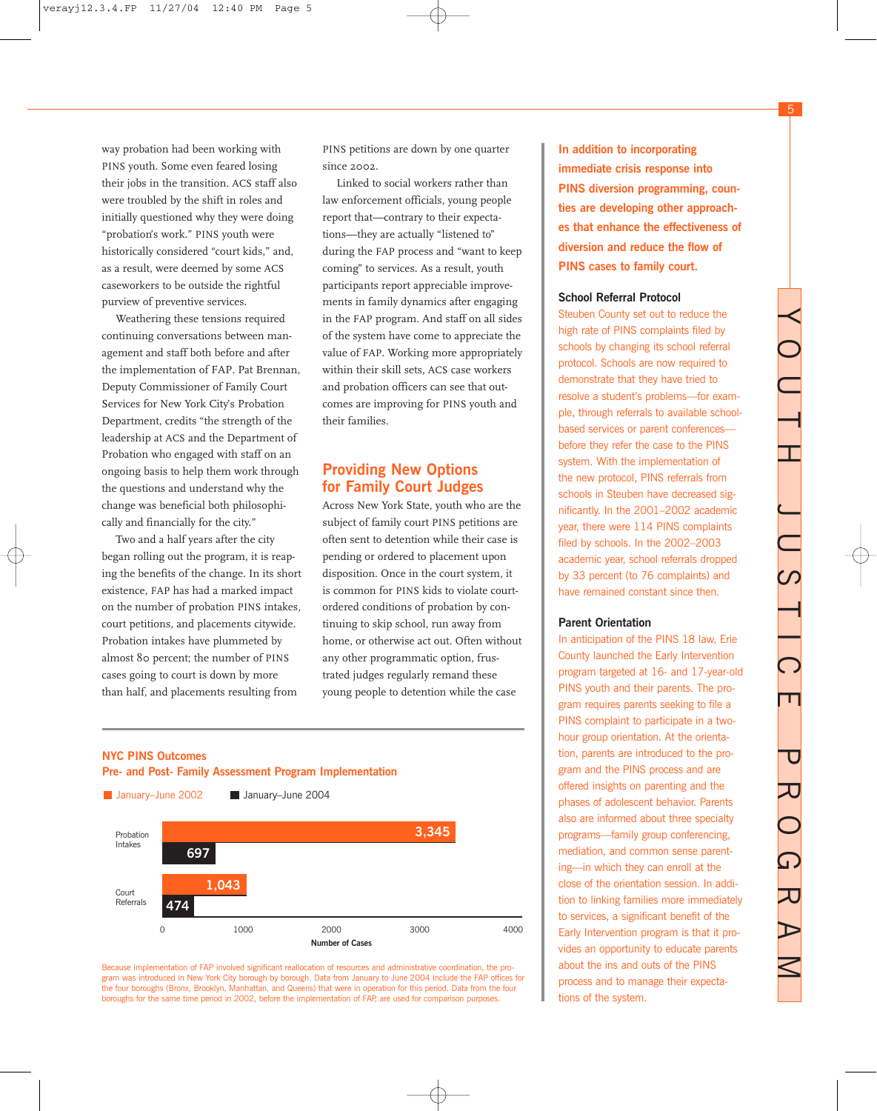5

way probation had been working with PINS youth. Some even feared losing their jobs in the transition. ACS staff also were troubled by the shift in roles and initially questioned why they were doing "probation's work." PINS youth were historically considered "court kids," and, as a result, were deemed by some ACS caseworkers to be outside the rightful purview of preventive services.

Weathering these tensions required continuing conversations between management and staff both before and after the implementation of FAP. Pat Brennan, Deputy Commissioner of Family Court Services for New York City's Probation Department, credits "the strength of the leadership at ACS and the Department of Probation who engaged with staff on an ongoing basis to help them work through the questions and understand why the change was beneficial both philosophically and financially for the city."

Two and a half years after the city began rolling out the program, it is reaping the benefits of the change. In its short existence, FAP has had a marked impact on the number of probation PINS intakes, court petitions, and placements citywide. Probation intakes have plummeted by almost 80 percent; the number of PINS cases going to court is down by more than half, and placements resulting from

PINS petitions are down by one quarter since 2002.

Linked to social workers rather than law enforcement officials, young people report that—contrary to their expectations—they are actually "listened to" during the FAP process and "want to keep coming" to services. As a result, youth participants report appreciable improvements in family dynamics after engaging in the FAP program. And staff on all sides of the system have come to appreciate the value of FAP. Working more appropriately within their skill sets, ACS case workers and probation officers can see that outcomes are improving for PINS youth and their families.

### **Providing New Options for Family Court Judges**

Across New York State, youth who are the subject of family court PINS petitions are often sent to detention while their case is pending or ordered to placement upon disposition. Once in the court system, it is common for PINS kids to violate courtordered conditions of probation by continuing to skip school, run away from home, or otherwise act out. Often without any other programmatic option, frustrated judges regularly remand these young people to detention while the case

**NYC PINS Outcomes Pre- and Post- Family Assessment Program Implementation**



Because implementation of FAP involved significant reallocation of resources and administrative coordination, the program was introduced in New York City borough by borough. Data from January to June 2004 include the FAP offices for the four boroughs (Bronx, Brooklyn, Manhattan, and Queens) that were in operation for this period. Data from the four boroughs for the same time period in 2002, before the implementation of FAP, are used for comparison purposes.

**In addition to incorporating immediate crisis response into PINS diversion programming, counties are developing other approaches that enhance the effectiveness of diversion and reduce the flow of PINS cases to family court.**

#### **School Referral Protocol**

Steuben County set out to reduce the high rate of PINS complaints filed by schools by changing its school referral protocol. Schools are now required to demonstrate that they have tried to resolve a student's problems—for example, through referrals to available schoolbased services or parent conferences before they refer the case to the PINS system. With the implementation of the new protocol, PINS referrals from schools in Steuben have decreased significantly. In the 2001–2002 academic year, there were 114 PINS complaints filed by schools. In the 2002–2003 academic year, school referrals dropped by 33 percent (to 76 complaints) and have remained constant since then.

#### **Parent Orientation**

In anticipation of the PINS 18 law, Erie County launched the Early Intervention program targeted at 16- and 17-year-old PINS youth and their parents. The program requires parents seeking to file a PINS complaint to participate in a twohour group orientation. At the orientation, parents are introduced to the program and the PINS process and are offered insights on parenting and the phases of adolescent behavior. Parents also are informed about three specialty programs—family group conferencing, mediation, and common sense parenting—in which they can enroll at the close of the orientation session. In addition to linking families more immediately to services, a significant benefit of the Early Intervention program is that it provides an opportunity to educate parents about the ins and outs of the PINS process and to manage their expectations of the system.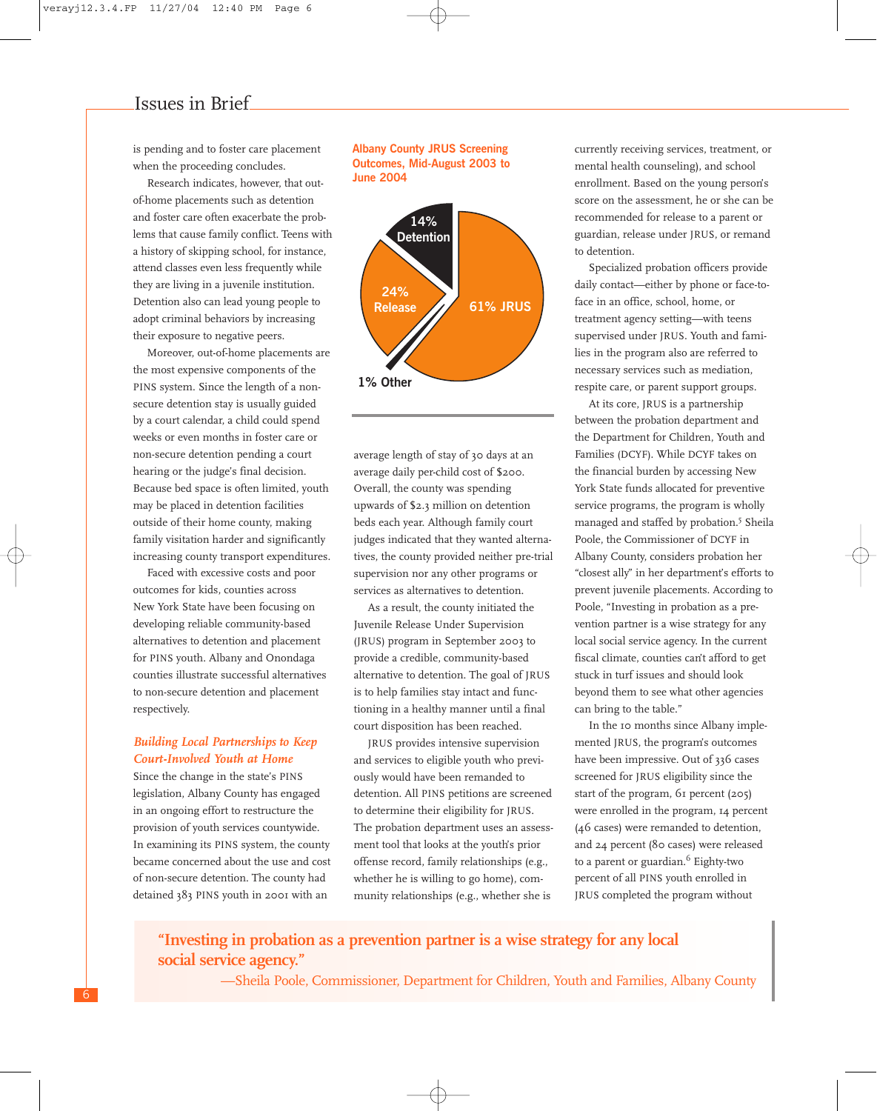is pending and to foster care placement when the proceeding concludes.

Research indicates, however, that outof-home placements such as detention and foster care often exacerbate the problems that cause family conflict. Teens with a history of skipping school, for instance, attend classes even less frequently while they are living in a juvenile institution. Detention also can lead young people to adopt criminal behaviors by increasing their exposure to negative peers.

Moreover, out-of-home placements are the most expensive components of the PINS system. Since the length of a nonsecure detention stay is usually guided by a court calendar, a child could spend weeks or even months in foster care or non-secure detention pending a court hearing or the judge's final decision. Because bed space is often limited, youth may be placed in detention facilities outside of their home county, making family visitation harder and significantly increasing county transport expenditures.

Faced with excessive costs and poor outcomes for kids, counties across New York State have been focusing on developing reliable community-based alternatives to detention and placement for PINS youth. Albany and Onondaga counties illustrate successful alternatives to non-secure detention and placement respectively.

#### *Building Local Partnerships to Keep Court-Involved Youth at Home*

Since the change in the state's PINS legislation, Albany County has engaged in an ongoing effort to restructure the provision of youth services countywide. In examining its PINS system, the county became concerned about the use and cost of non-secure detention. The county had detained 383 PINS youth in 2001 with an

#### **Albany County JRUS Screening Outcomes, Mid-August 2003 to June 2004**



average length of stay of 30 days at an average daily per-child cost of \$200. Overall, the county was spending upwards of \$2.3 million on detention beds each year. Although family court judges indicated that they wanted alternatives, the county provided neither pre-trial supervision nor any other programs or services as alternatives to detention.

As a result, the county initiated the Juvenile Release Under Supervision (JRUS) program in September 2003 to provide a credible, community-based alternative to detention. The goal of JRUS is to help families stay intact and functioning in a healthy manner until a final court disposition has been reached.

JRUS provides intensive supervision and services to eligible youth who previously would have been remanded to detention. All PINS petitions are screened to determine their eligibility for JRUS. The probation department uses an assessment tool that looks at the youth's prior offense record, family relationships (e.g., whether he is willing to go home), community relationships (e.g., whether she is

currently receiving services, treatment, or mental health counseling), and school enrollment. Based on the young person's score on the assessment, he or she can be recommended for release to a parent or guardian, release under JRUS, or remand to detention.

Specialized probation officers provide daily contact—either by phone or face-toface in an office, school, home, or treatment agency setting—with teens supervised under JRUS. Youth and families in the program also are referred to necessary services such as mediation, respite care, or parent support groups.

At its core, JRUS is a partnership between the probation department and the Department for Children, Youth and Families (DCYF). While DCYF takes on the financial burden by accessing New York State funds allocated for preventive service programs, the program is wholly managed and staffed by probation.5 Sheila Poole, the Commissioner of DCYF in Albany County, considers probation her "closest ally" in her department's efforts to prevent juvenile placements. According to Poole, "Investing in probation as a prevention partner is a wise strategy for any local social service agency. In the current fiscal climate, counties can't afford to get stuck in turf issues and should look beyond them to see what other agencies can bring to the table."

In the 10 months since Albany implemented JRUS, the program's outcomes have been impressive. Out of 336 cases screened for JRUS eligibility since the start of the program, 61 percent (205) were enrolled in the program, 14 percent (46 cases) were remanded to detention, and 24 percent (80 cases) were released to a parent or guardian.<sup>6</sup> Eighty-two percent of all PINS youth enrolled in JRUS completed the program without

## **"Investing in probation as a prevention partner is a wise strategy for any local social service agency."**

—Sheila Poole, Commissioner, Department for Children, Youth and Families, Albany County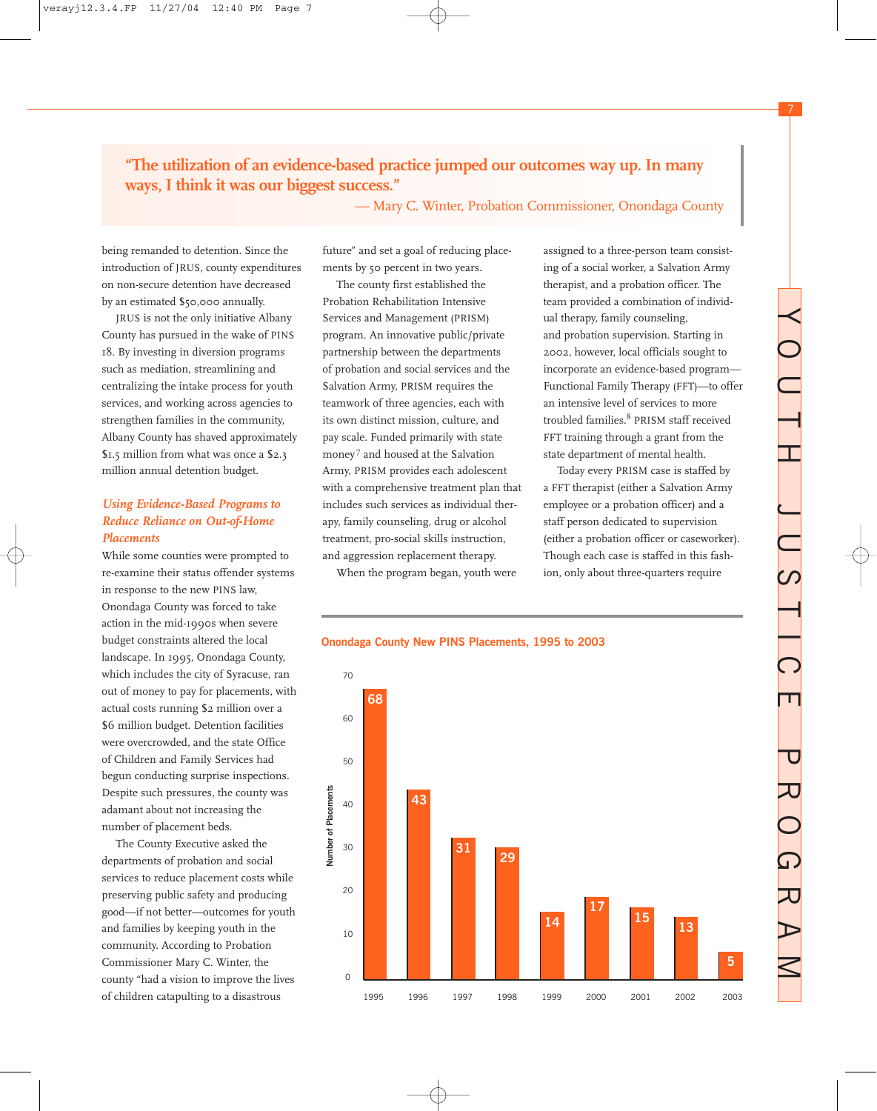7

# **"The utilization of an evidence-based practice jumped our outcomes way up. In many ways, I think it was our biggest success."**

— Mary C. Winter, Probation Commissioner, Onondaga County

being remanded to detention. Since the introduction of JRUS, county expenditures on non-secure detention have decreased by an estimated \$50,000 annually.

JRUS is not the only initiative Albany County has pursued in the wake of PINS 18. By investing in diversion programs such as mediation, streamlining and centralizing the intake process for youth services, and working across agencies to strengthen families in the community, Albany County has shaved approximately \$1.5 million from what was once a \$2.3 million annual detention budget.

### *Using Evidence-Based Programs to Reduce Reliance on Out-of-Home Placements*

While some counties were prompted to re-examine their status offender systems in response to the new PINS law, Onondaga County was forced to take action in the mid-1990s when severe budget constraints altered the local landscape. In 1995, Onondaga County, which includes the city of Syracuse, ran out of money to pay for placements, with actual costs running \$2 million over a \$6 million budget. Detention facilities were overcrowded, and the state Office of Children and Family Services had begun conducting surprise inspections. Despite such pressures, the county was adamant about not increasing the number of placement beds.

The County Executive asked the departments of probation and social services to reduce placement costs while preserving public safety and producing good—if not better—outcomes for youth and families by keeping youth in the community. According to Probation Commissioner Mary C. Winter, the county "had a vision to improve the lives of children catapulting to a disastrous

future" and set a goal of reducing placements by 50 percent in two years.

The county first established the Probation Rehabilitation Intensive Services and Management (PRISM) program. An innovative public/private partnership between the departments of probation and social services and the Salvation Army, PRISM requires the teamwork of three agencies, each with its own distinct mission, culture, and pay scale. Funded primarily with state money<sup>7</sup> and housed at the Salvation Army, PRISM provides each adolescent with a comprehensive treatment plan that includes such services as individual therapy, family counseling, drug or alcohol treatment, pro-social skills instruction, and aggression replacement therapy.

When the program began, youth were

assigned to a three-person team consisting of a social worker, a Salvation Army therapist, and a probation officer. The team provided a combination of individual therapy, family counseling, and probation supervision. Starting in 2002, however, local officials sought to incorporate an evidence-based program— Functional Family Therapy (FFT)—to offer an intensive level of services to more troubled families.8 PRISM staff received FFT training through a grant from the state department of mental health.

Today every PRISM case is staffed by a FFT therapist (either a Salvation Army employee or a probation officer) and a staff person dedicated to supervision (either a probation officer or caseworker). Though each case is staffed in this fashion, only about three-quarters require